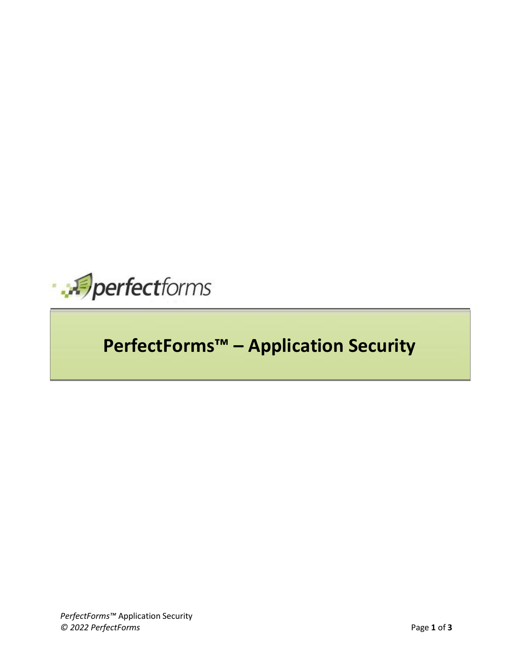

## **PerfectForms™ – Application Security**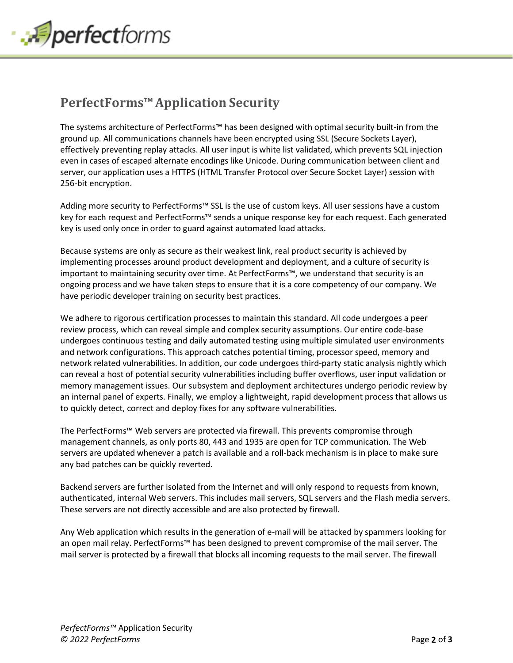

## **PerfectForms™Application Security**

The systems architecture of PerfectForms™ has been designed with optimal security built-in from the ground up. All communications channels have been encrypted using SSL (Secure Sockets Layer), effectively preventing replay attacks. All user input is white list validated, which prevents SQL injection even in cases of escaped alternate encodings like Unicode. During communication between client and server, our application uses a HTTPS (HTML Transfer Protocol over Secure Socket Layer) session with 256-bit encryption.

Adding more security to PerfectForms™ SSL is the use of custom keys. All user sessions have a custom key for each request and PerfectForms™ sends a unique response key for each request. Each generated key is used only once in order to guard against automated load attacks.

Because systems are only as secure as their weakest link, real product security is achieved by implementing processes around product development and deployment, and a culture of security is important to maintaining security over time. At PerfectForms™, we understand that security is an ongoing process and we have taken steps to ensure that it is a core competency of our company. We have periodic developer training on security best practices.

We adhere to rigorous certification processes to maintain this standard. All code undergoes a peer review process, which can reveal simple and complex security assumptions. Our entire code-base undergoes continuous testing and daily automated testing using multiple simulated user environments and network configurations. This approach catches potential timing, processor speed, memory and network related vulnerabilities. In addition, our code undergoes third-party static analysis nightly which can reveal a host of potential security vulnerabilities including buffer overflows, user input validation or memory management issues. Our subsystem and deployment architectures undergo periodic review by an internal panel of experts. Finally, we employ a lightweight, rapid development process that allows us to quickly detect, correct and deploy fixes for any software vulnerabilities.

The PerfectForms™ Web servers are protected via firewall. This prevents compromise through management channels, as only ports 80, 443 and 1935 are open for TCP communication. The Web servers are updated whenever a patch is available and a roll-back mechanism is in place to make sure any bad patches can be quickly reverted.

Backend servers are further isolated from the Internet and will only respond to requests from known, authenticated, internal Web servers. This includes mail servers, SQL servers and the Flash media servers. These servers are not directly accessible and are also protected by firewall.

Any Web application which results in the generation of e-mail will be attacked by spammers looking for an open mail relay. PerfectForms™ has been designed to prevent compromise of the mail server. The mail server is protected by a firewall that blocks all incoming requests to the mail server. The firewall